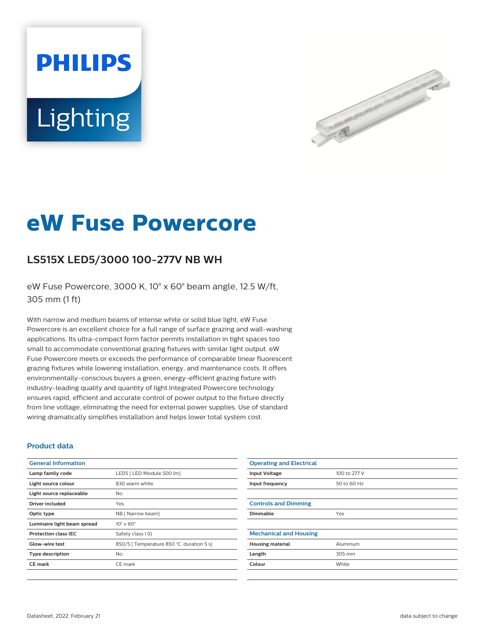# **PHILIPS** Lighting



## **eW Fuse Powercore**

### **LS515X LED5/3000 100-277V NB WH**

eW Fuse Powercore, 3000 K, 10° x 60° beam angle, 12.5 W/ft, 305 mm (1 ft)

With narrow and medium beams of intense white or solid blue light, eW Fuse Powercore is an excellent choice for a full range of surface grazing and wall-washing applications. Its ultra-compact form factor permits installation in tight spaces too small to accommodate conventional grazing fixtures with similar light output. eW Fuse Powercore meets or exceeds the performance of comparable linear fluorescent grazing fixtures while lowering installation, energy, and maintenance costs. It offers environmentally-conscious buyers a green, energy-efficient grazing fixture with industry-leading quality and quantity of light.Integrated Powercore technology ensures rapid, efficient and accurate control of power output to the fixture directly from line voltage, eliminating the need for external power supplies. Use of standard wiring dramatically simplifies installation and helps lower total system cost.

#### **Product data**

| <b>General Information</b>  |                                           |
|-----------------------------|-------------------------------------------|
| Lamp family code            | LED5   LED Module 500 lm]                 |
| Light source colour         | 830 warm white                            |
| Light source replaceable    | N <sub>o</sub>                            |
| Driver included             | Yes                                       |
| Optic type                  | NB [ Narrow beam]                         |
| Luminaire light beam spread | $10^{\circ} \times 60^{\circ}$            |
| <b>Protection class IEC</b> | Safety class I (I)                        |
| Glow-wire test              | 850/5   Temperature 850 °C, duration 5 s] |
| <b>Type description</b>     | N <sub>o</sub>                            |
| <b>CE</b> mark              | CE mark                                   |
|                             |                                           |

| <b>Operating and Electrical</b> |              |
|---------------------------------|--------------|
| <b>Input Voltage</b>            | 100 to 277 V |
| Input frequency                 | 50 to 60 Hz  |
|                                 |              |
| <b>Controls and Dimming</b>     |              |
| Dimmable                        | Yes          |
|                                 |              |
| <b>Mechanical and Housing</b>   |              |
| <b>Housing material</b>         | Aluminum     |
| Length                          | 305 mm       |
| Colour                          | White        |
|                                 |              |